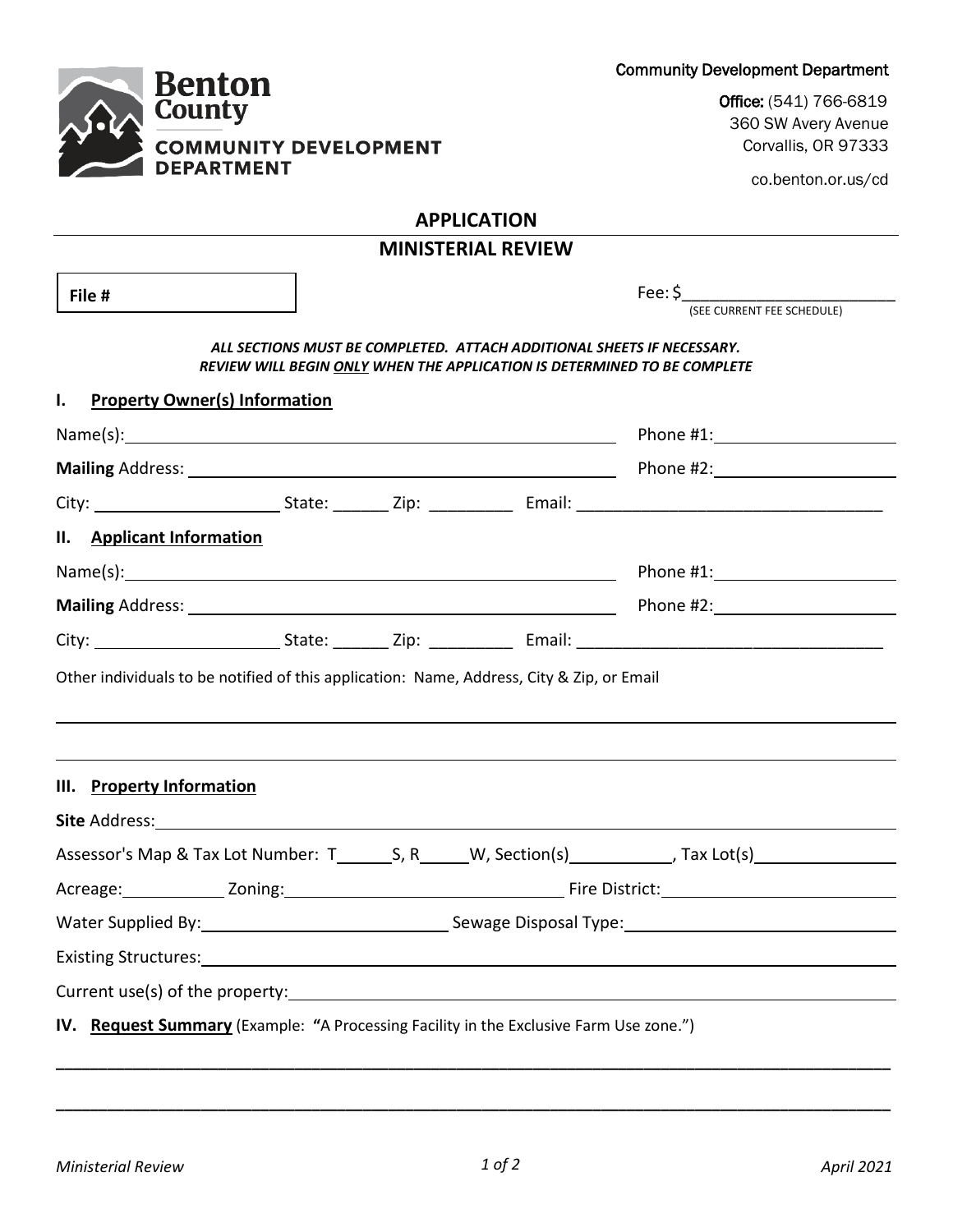Community Development Department

**Benton County COMMUNITY DEVELOPMENT DEPARTMENT** 

Office: (541) 766-6819 360 SW Avery Avenue Corvallis, OR 97333

co.benton.or.us/cd

## **APPLICATION**

# **MINISTERIAL REVIEW**

Fee: \$\_\_\_\_\_\_\_\_\_\_\_\_\_\_\_\_\_\_\_\_\_\_\_ (SEE CURRENT FEE SCHEDULE) *ALL SECTIONS MUST BE COMPLETED. ATTACH ADDITIONAL SHEETS IF NECESSARY. REVIEW WILL BEGIN ONLY WHEN THE APPLICATION IS DETERMINED TO BE COMPLETE* **I. Property Owner(s) Information** Name(s): Name(s): Phone #1: **Mailing** Address: Phone #2: City: State: \_\_\_\_\_\_ Zip: \_\_\_\_\_\_\_\_\_ Email: \_\_\_\_\_\_\_\_\_\_\_\_\_\_\_\_\_\_\_\_\_\_\_\_\_\_\_\_\_\_\_\_\_ **II. Applicant Information** Name(s): Name(s): Phone #1: **Mailing** Address: **Phone #2:** Phone #2: City: State: \_\_\_\_\_\_ Zip: \_\_\_\_\_\_\_\_\_ Email: \_\_\_\_\_\_\_\_\_\_\_\_\_\_\_\_\_\_\_\_\_\_\_\_\_\_\_\_\_\_\_\_\_ Other individuals to be notified of this application: Name, Address, City & Zip, or Email **III. Property Information Site** Address: Assessor's Map & Tax Lot Number:  $T_$ , S, R, W, Section(s) , Tax Lot(s) , Tax Lot(s) , The M and M and M and M and M and M and M and M and M and M and M and M and M and M and M and M and M and M and M and M and M and M an Acreage: Zoning: Fire District: Water Supplied By: Sewage Disposal Type: Sewage Disposal Type: Existing Structures: Current use(s) of the property: Equation of the property: **File #** 

**IV. Request Summary** (Example: **"**A Processing Facility in the Exclusive Farm Use zone.")

**\_\_\_\_\_\_\_\_\_\_\_\_\_\_\_\_\_\_\_\_\_\_\_\_\_\_\_\_\_\_\_\_\_\_\_\_\_\_\_\_\_\_\_\_\_\_\_\_\_\_\_\_\_\_\_\_\_\_\_\_\_\_\_\_\_\_\_\_\_\_\_\_\_\_\_\_\_\_\_\_\_\_\_\_\_\_\_\_\_\_\_\_\_\_\_\_\_\_**

**\_\_\_\_\_\_\_\_\_\_\_\_\_\_\_\_\_\_\_\_\_\_\_\_\_\_\_\_\_\_\_\_\_\_\_\_\_\_\_\_\_\_\_\_\_\_\_\_\_\_\_\_\_\_\_\_\_\_\_\_\_\_\_\_\_\_\_\_\_\_\_\_\_\_\_\_\_\_\_\_\_\_\_\_\_\_\_\_\_\_\_\_\_\_\_\_\_\_**